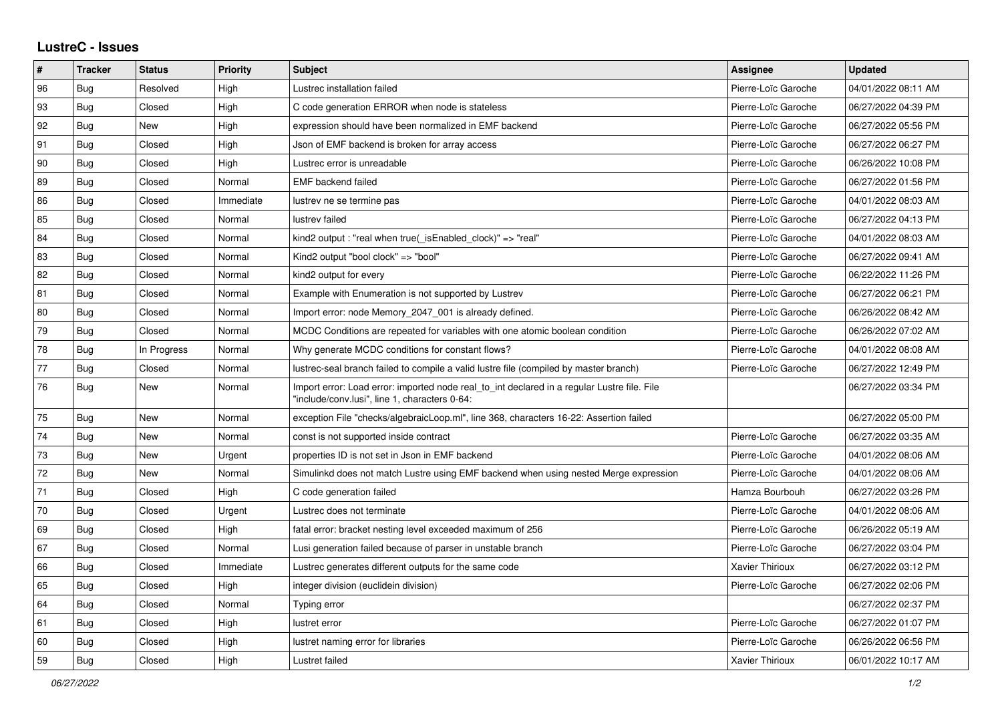## **LustreC - Issues**

| $\vert$ # | <b>Tracker</b> | <b>Status</b> | <b>Priority</b> | <b>Subject</b>                                                                                                                               | <b>Assignee</b>        | <b>Updated</b>      |
|-----------|----------------|---------------|-----------------|----------------------------------------------------------------------------------------------------------------------------------------------|------------------------|---------------------|
| 96        | Bug            | Resolved      | High            | Lustrec installation failed                                                                                                                  | Pierre-Loïc Garoche    | 04/01/2022 08:11 AM |
| 93        | Bug            | Closed        | High            | C code generation ERROR when node is stateless                                                                                               | Pierre-Loïc Garoche    | 06/27/2022 04:39 PM |
| 92        | Bug            | New           | High            | expression should have been normalized in EMF backend                                                                                        | Pierre-Loïc Garoche    | 06/27/2022 05:56 PM |
| 91        | Bug            | Closed        | High            | Json of EMF backend is broken for array access                                                                                               | Pierre-Loïc Garoche    | 06/27/2022 06:27 PM |
| 90        | Bug            | Closed        | High            | Lustrec error is unreadable                                                                                                                  | Pierre-Loïc Garoche    | 06/26/2022 10:08 PM |
| 89        | Bug            | Closed        | Normal          | <b>EMF</b> backend failed                                                                                                                    | Pierre-Loïc Garoche    | 06/27/2022 01:56 PM |
| 86        | <b>Bug</b>     | Closed        | Immediate       | lustrev ne se termine pas                                                                                                                    | Pierre-Loïc Garoche    | 04/01/2022 08:03 AM |
| 85        | <b>Bug</b>     | Closed        | Normal          | lustrev failed                                                                                                                               | Pierre-Loïc Garoche    | 06/27/2022 04:13 PM |
| 84        | Bug            | Closed        | Normal          | kind2 output : "real when true( isEnabled clock)" => "real"                                                                                  | Pierre-Loïc Garoche    | 04/01/2022 08:03 AM |
| 83        | Bug            | Closed        | Normal          | Kind2 output "bool clock" => "bool"                                                                                                          | Pierre-Loïc Garoche    | 06/27/2022 09:41 AM |
| 82        | <b>Bug</b>     | Closed        | Normal          | kind2 output for every                                                                                                                       | Pierre-Loïc Garoche    | 06/22/2022 11:26 PM |
| 81        | <b>Bug</b>     | Closed        | Normal          | Example with Enumeration is not supported by Lustrev                                                                                         | Pierre-Loïc Garoche    | 06/27/2022 06:21 PM |
| 80        | <b>Bug</b>     | Closed        | Normal          | Import error: node Memory_2047_001 is already defined.                                                                                       | Pierre-Loïc Garoche    | 06/26/2022 08:42 AM |
| 79        | Bug            | Closed        | Normal          | MCDC Conditions are repeated for variables with one atomic boolean condition                                                                 | Pierre-Loïc Garoche    | 06/26/2022 07:02 AM |
| 78        | Bug            | In Progress   | Normal          | Why generate MCDC conditions for constant flows?                                                                                             | Pierre-Loïc Garoche    | 04/01/2022 08:08 AM |
| 77        | Bug            | Closed        | Normal          | lustrec-seal branch failed to compile a valid lustre file (compiled by master branch)                                                        | Pierre-Loïc Garoche    | 06/27/2022 12:49 PM |
| 76        | Bug            | New           | Normal          | Import error: Load error: imported node real_to_int declared in a regular Lustre file. File<br>"include/conv.lusi", line 1, characters 0-64: |                        | 06/27/2022 03:34 PM |
| 75        | Bug            | New           | Normal          | exception File "checks/algebraicLoop.ml", line 368, characters 16-22: Assertion failed                                                       |                        | 06/27/2022 05:00 PM |
| 74        | Bug            | New           | Normal          | const is not supported inside contract                                                                                                       | Pierre-Loïc Garoche    | 06/27/2022 03:35 AM |
| 73        | Bug            | New           | Urgent          | properties ID is not set in Json in EMF backend                                                                                              | Pierre-Loïc Garoche    | 04/01/2022 08:06 AM |
| $72\,$    | <b>Bug</b>     | New           | Normal          | Simulinkd does not match Lustre using EMF backend when using nested Merge expression                                                         | Pierre-Loïc Garoche    | 04/01/2022 08:06 AM |
| 71        | <b>Bug</b>     | Closed        | High            | C code generation failed                                                                                                                     | Hamza Bourbouh         | 06/27/2022 03:26 PM |
| 70        | Bug            | Closed        | Urgent          | Lustrec does not terminate                                                                                                                   | Pierre-Loïc Garoche    | 04/01/2022 08:06 AM |
| 69        | Bug            | Closed        | High            | fatal error: bracket nesting level exceeded maximum of 256                                                                                   | Pierre-Loïc Garoche    | 06/26/2022 05:19 AM |
| 67        | <b>Bug</b>     | Closed        | Normal          | Lusi generation failed because of parser in unstable branch                                                                                  | Pierre-Loïc Garoche    | 06/27/2022 03:04 PM |
| 66        | <b>Bug</b>     | Closed        | Immediate       | Lustrec generates different outputs for the same code                                                                                        | <b>Xavier Thirioux</b> | 06/27/2022 03:12 PM |
| 65        | <b>Bug</b>     | Closed        | High            | integer division (euclidein division)                                                                                                        | Pierre-Loïc Garoche    | 06/27/2022 02:06 PM |
| 64        | Bug            | Closed        | Normal          | Typing error                                                                                                                                 |                        | 06/27/2022 02:37 PM |
| 61        | <b>Bug</b>     | Closed        | High            | lustret error                                                                                                                                | Pierre-Loïc Garoche    | 06/27/2022 01:07 PM |
| 60        | <b>Bug</b>     | Closed        | High            | lustret naming error for libraries                                                                                                           | Pierre-Loïc Garoche    | 06/26/2022 06:56 PM |
| 59        | Bug            | Closed        | High            | Lustret failed                                                                                                                               | <b>Xavier Thirioux</b> | 06/01/2022 10:17 AM |